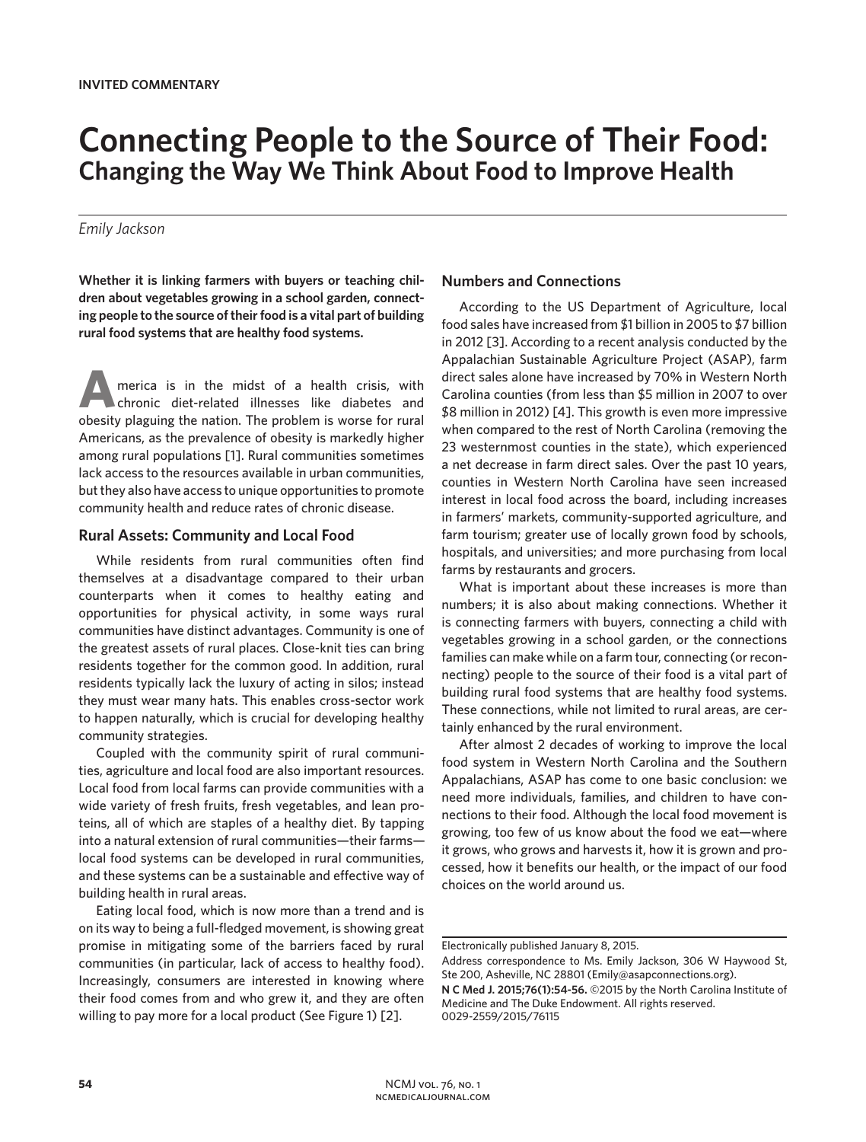# **Connecting People to the Source of Their Food: Changing the Way We Think About Food to Improve Health**

## *Emily Jackson*

**Whether it is linking farmers with buyers or teaching children about vegetables growing in a school garden, connecting people to the source of their food is a vital part of building rural food systems that are healthy food systems.**

**A**merica is in the midst of a health crisis, with chronic diet-related illnesses like diabetes and obesity plaguing the nation. The problem is worse for rural Americans, as the prevalence of obesity is markedly higher among rural populations [1]. Rural communities sometimes lack access to the resources available in urban communities, but they also have access to unique opportunities to promote community health and reduce rates of chronic disease.

### **Rural Assets: Community and Local Food**

While residents from rural communities often find themselves at a disadvantage compared to their urban counterparts when it comes to healthy eating and opportunities for physical activity, in some ways rural communities have distinct advantages. Community is one of the greatest assets of rural places. Close-knit ties can bring residents together for the common good. In addition, rural residents typically lack the luxury of acting in silos; instead they must wear many hats. This enables cross-sector work to happen naturally, which is crucial for developing healthy community strategies.

Coupled with the community spirit of rural communities, agriculture and local food are also important resources. Local food from local farms can provide communities with a wide variety of fresh fruits, fresh vegetables, and lean proteins, all of which are staples of a healthy diet. By tapping into a natural extension of rural communities—their farms local food systems can be developed in rural communities, and these systems can be a sustainable and effective way of building health in rural areas.

Eating local food, which is now more than a trend and is on its way to being a full-fledged movement, is showing great promise in mitigating some of the barriers faced by rural communities (in particular, lack of access to healthy food). Increasingly, consumers are interested in knowing where their food comes from and who grew it, and they are often willing to pay more for a local product (See Figure 1) [2].

## **Numbers and Connections**

According to the US Department of Agriculture, local food sales have increased from \$1 billion in 2005 to \$7 billion in 2012 [3]. According to a recent analysis conducted by the Appalachian Sustainable Agriculture Project (ASAP), farm direct sales alone have increased by 70% in Western North Carolina counties (from less than \$5 million in 2007 to over \$8 million in 2012) [4]. This growth is even more impressive when compared to the rest of North Carolina (removing the 23 westernmost counties in the state), which experienced a net decrease in farm direct sales. Over the past 10 years, counties in Western North Carolina have seen increased interest in local food across the board, including increases in farmers' markets, community-supported agriculture, and farm tourism; greater use of locally grown food by schools, hospitals, and universities; and more purchasing from local farms by restaurants and grocers.

What is important about these increases is more than numbers; it is also about making connections. Whether it is connecting farmers with buyers, connecting a child with vegetables growing in a school garden, or the connections families can make while on a farm tour, connecting (or reconnecting) people to the source of their food is a vital part of building rural food systems that are healthy food systems. These connections, while not limited to rural areas, are certainly enhanced by the rural environment.

After almost 2 decades of working to improve the local food system in Western North Carolina and the Southern Appalachians, ASAP has come to one basic conclusion: we need more individuals, families, and children to have connections to their food. Although the local food movement is growing, too few of us know about the food we eat—where it grows, who grows and harvests it, how it is grown and processed, how it benefits our health, or the impact of our food choices on the world around us.

Electronically published January 8, 2015.

Address correspondence to Ms. Emily Jackson, 306 W Haywood St, Ste 200, Asheville, NC 28801 (Emily@asapconnections.org).

**N C Med J. 2015;76(1):54-56.** ©2015 by the North Carolina Institute of Medicine and The Duke Endowment. All rights reserved. 0029-2559/2015/76115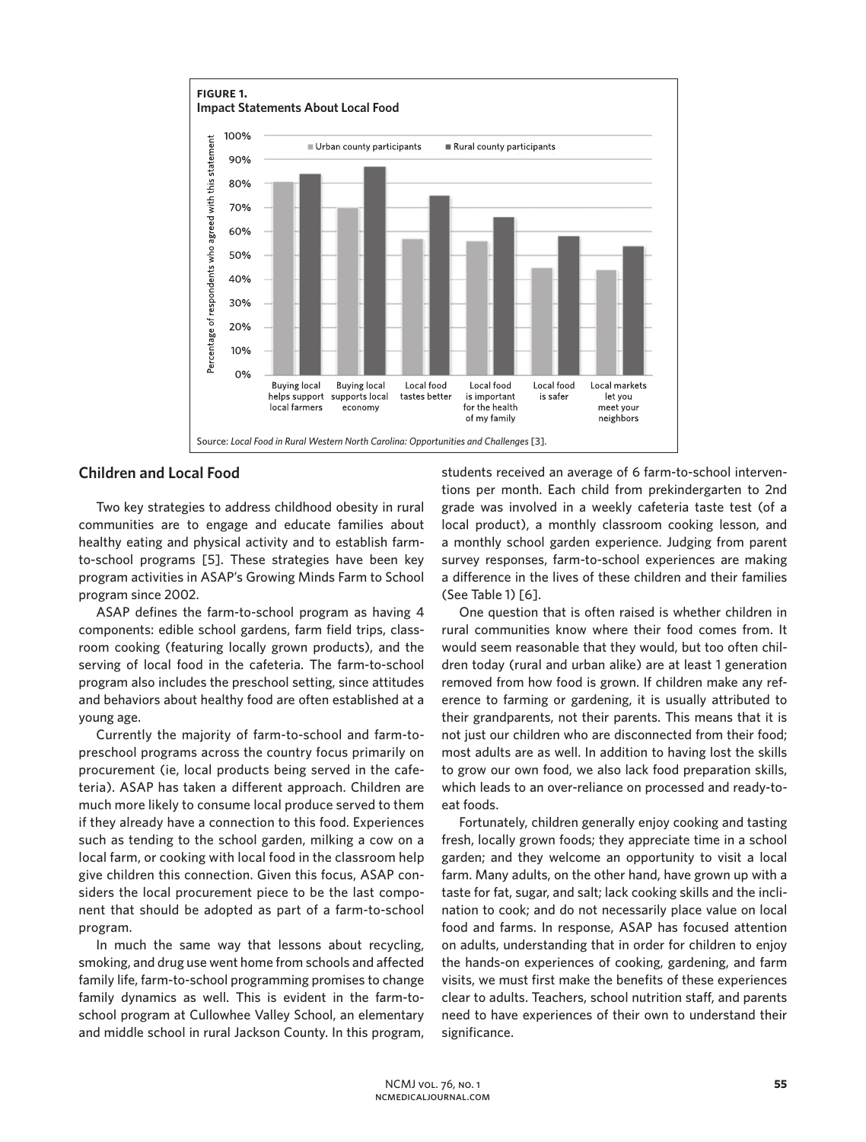

## **Children and Local Food**

Two key strategies to address childhood obesity in rural communities are to engage and educate families about healthy eating and physical activity and to establish farmto-school programs [5]. These strategies have been key program activities in ASAP's Growing Minds Farm to School program since 2002.

ASAP defines the farm-to-school program as having 4 components: edible school gardens, farm field trips, classroom cooking (featuring locally grown products), and the serving of local food in the cafeteria. The farm-to-school program also includes the preschool setting, since attitudes and behaviors about healthy food are often established at a young age.

Currently the majority of farm-to-school and farm-topreschool programs across the country focus primarily on procurement (ie, local products being served in the cafeteria). ASAP has taken a different approach. Children are much more likely to consume local produce served to them if they already have a connection to this food. Experiences such as tending to the school garden, milking a cow on a local farm, or cooking with local food in the classroom help give children this connection. Given this focus, ASAP considers the local procurement piece to be the last component that should be adopted as part of a farm-to-school program.

In much the same way that lessons about recycling, smoking, and drug use went home from schools and affected family life, farm-to-school programming promises to change family dynamics as well. This is evident in the farm-toschool program at Cullowhee Valley School, an elementary and middle school in rural Jackson County. In this program,

students received an average of 6 farm-to-school interventions per month. Each child from prekindergarten to 2nd grade was involved in a weekly cafeteria taste test (of a local product), a monthly classroom cooking lesson, and a monthly school garden experience. Judging from parent survey responses, farm-to-school experiences are making a difference in the lives of these children and their families (See Table 1) [6].

One question that is often raised is whether children in rural communities know where their food comes from. It would seem reasonable that they would, but too often children today (rural and urban alike) are at least 1 generation removed from how food is grown. If children make any reference to farming or gardening, it is usually attributed to their grandparents, not their parents. This means that it is not just our children who are disconnected from their food; most adults are as well. In addition to having lost the skills to grow our own food, we also lack food preparation skills, which leads to an over-reliance on processed and ready-toeat foods.

Fortunately, children generally enjoy cooking and tasting fresh, locally grown foods; they appreciate time in a school garden; and they welcome an opportunity to visit a local farm. Many adults, on the other hand, have grown up with a taste for fat, sugar, and salt; lack cooking skills and the inclination to cook; and do not necessarily place value on local food and farms. In response, ASAP has focused attention on adults, understanding that in order for children to enjoy the hands-on experiences of cooking, gardening, and farm visits, we must first make the benefits of these experiences clear to adults. Teachers, school nutrition staff, and parents need to have experiences of their own to understand their significance.